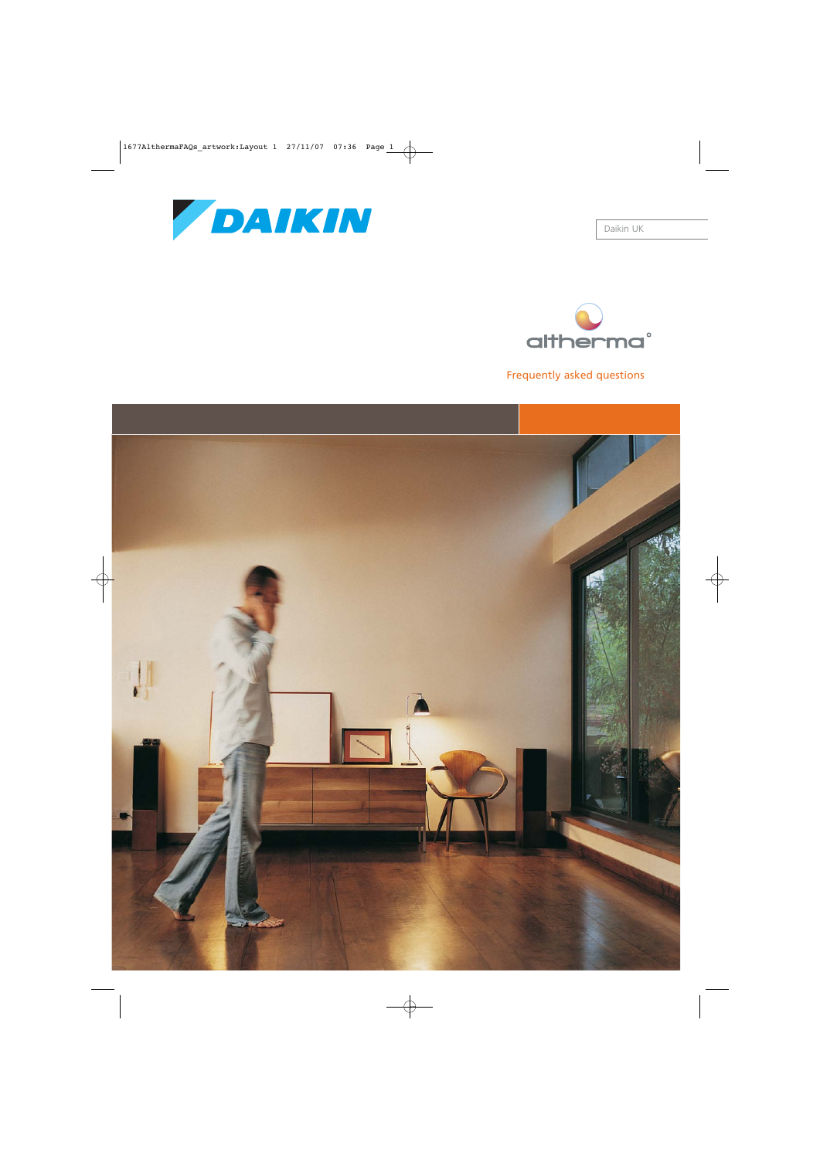

Daikin UK



Frequently asked questions

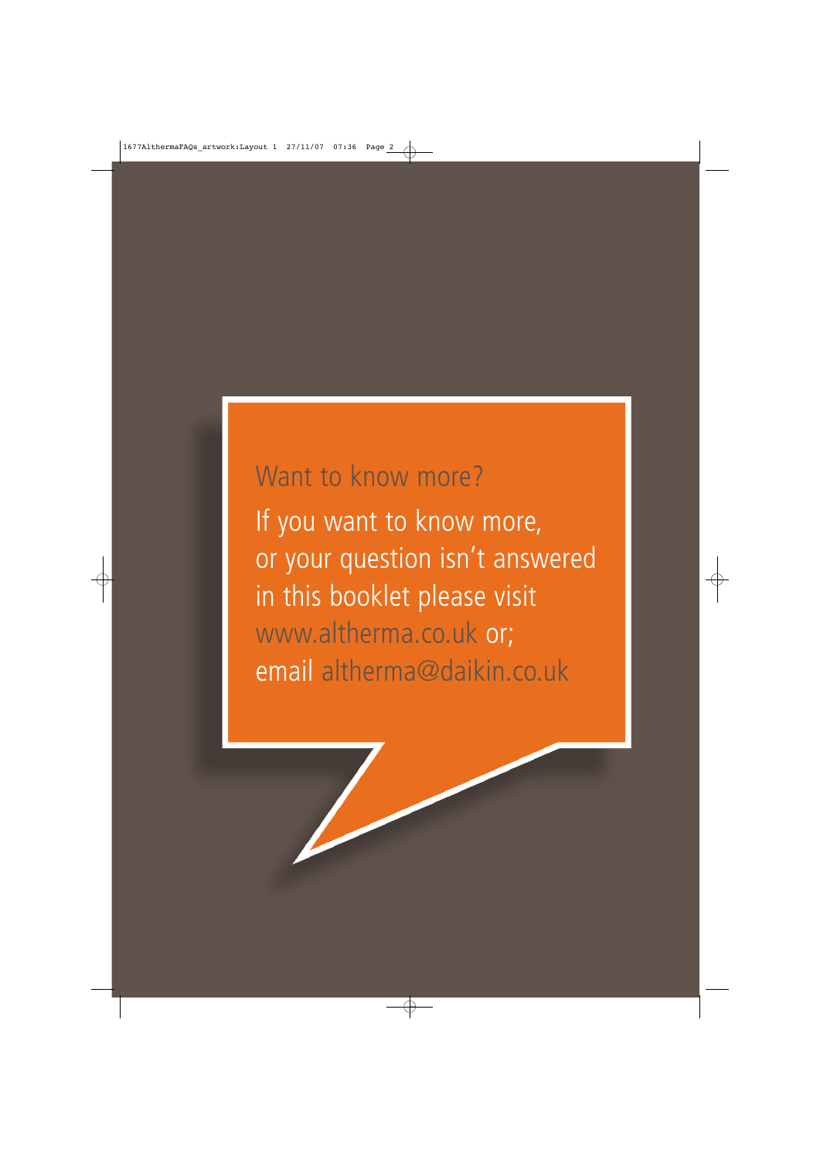## Want to know more? If you want to know more, or your question isn't answered in this booklet please visit www.altherma.co.uk or; email altherma@daikin.co.uk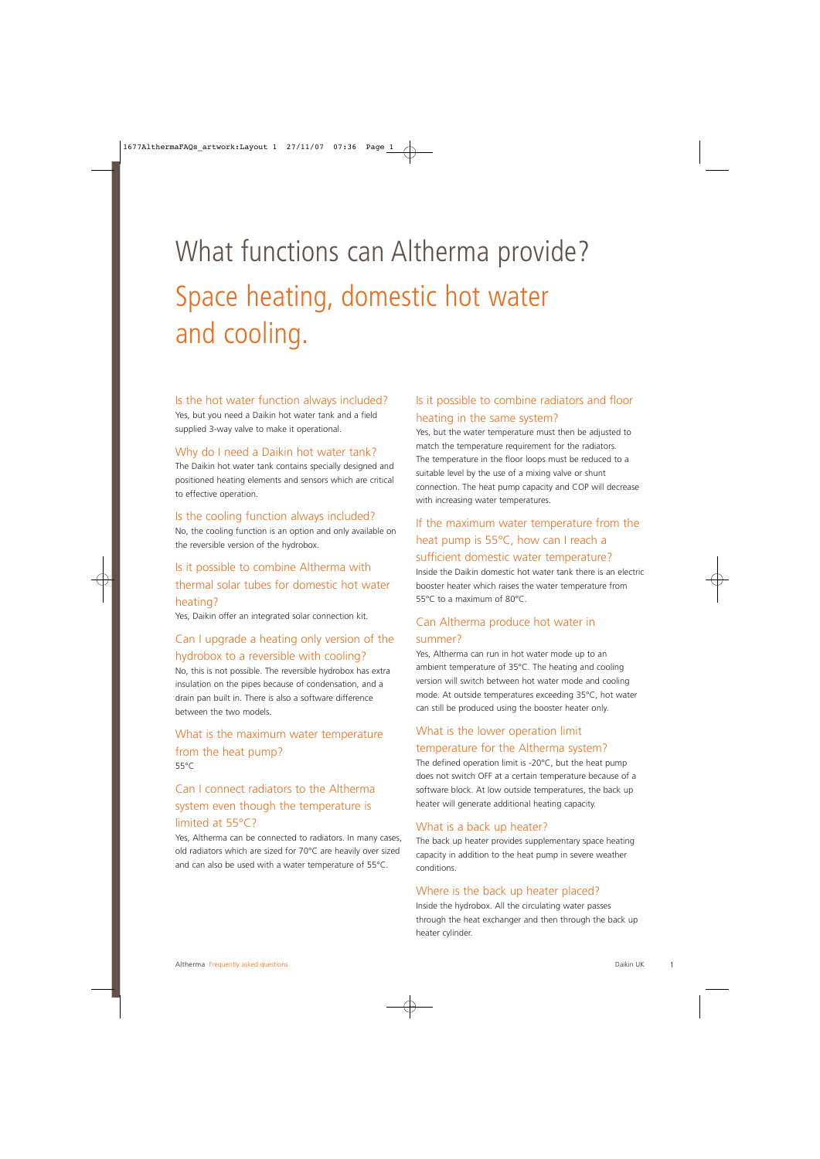# What functions can Altherma provide? Space heating, domestic hot water and cooling.

Is the hot water function always included? Yes, but you need a Daikin hot water tank and a field

supplied 3-way valve to make it operational.

#### Why do I need a Daikin hot water tank?

The Daikin hot water tank contains specially designed and positioned heating elements and sensors which are critical to effective operation.

#### Is the cooling function always included?

No, the cooling function is an option and only available on the reversible version of the hydrobox.

## Is it possible to combine Altherma with thermal solar tubes for domestic hot water heating?

Yes, Daikin offer an integrated solar connection kit.

## Can I upgrade a heating only version of the hydrobox to a reversible with cooling?

No, this is not possible. The reversible hydrobox has extra insulation on the pipes because of condensation, and a drain pan built in. There is also a software difference between the two models.

What is the maximum water temperature from the heat pump? 55°C

## Can I connect radiators to the Altherma system even though the temperature is limited at 55°C?

Yes, Altherma can be connected to radiators. In many cases, old radiators which are sized for 70°C are heavily over sized and can also be used with a water temperature of 55°C.

## Is it possible to combine radiators and floor heating in the same system?

Yes, but the water temperature must then be adjusted to match the temperature requirement for the radiators. The temperature in the floor loops must be reduced to a suitable level by the use of a mixing valve or shunt connection. The heat pump capacity and COP will decrease with increasing water temperatures.

## If the maximum water temperature from the heat pump is 55°C, how can I reach a sufficient domestic water temperature?

Inside the Daikin domestic hot water tank there is an electric booster heater which raises the water temperature from 55°C to a maximum of 80°C.

## Can Altherma produce hot water in summer?

Yes, Altherma can run in hot water mode up to an ambient temperature of 35°C. The heating and cooling version will switch between hot water mode and cooling mode. At outside temperatures exceeding 35°C, hot water can still be produced using the booster heater only.

## What is the lower operation limit temperature for the Altherma system?

The defined operation limit is -20°C, but the heat pump does not switch OFF at a certain temperature because of a software block. At low outside temperatures, the back up heater will generate additional heating capacity.

#### What is a back up heater?

The back up heater provides supplementary space heating capacity in addition to the heat pump in severe weather conditions.

#### Where is the back up heater placed?

Inside the hydrobox. All the circulating water passes through the heat exchanger and then through the back up heater cylinder.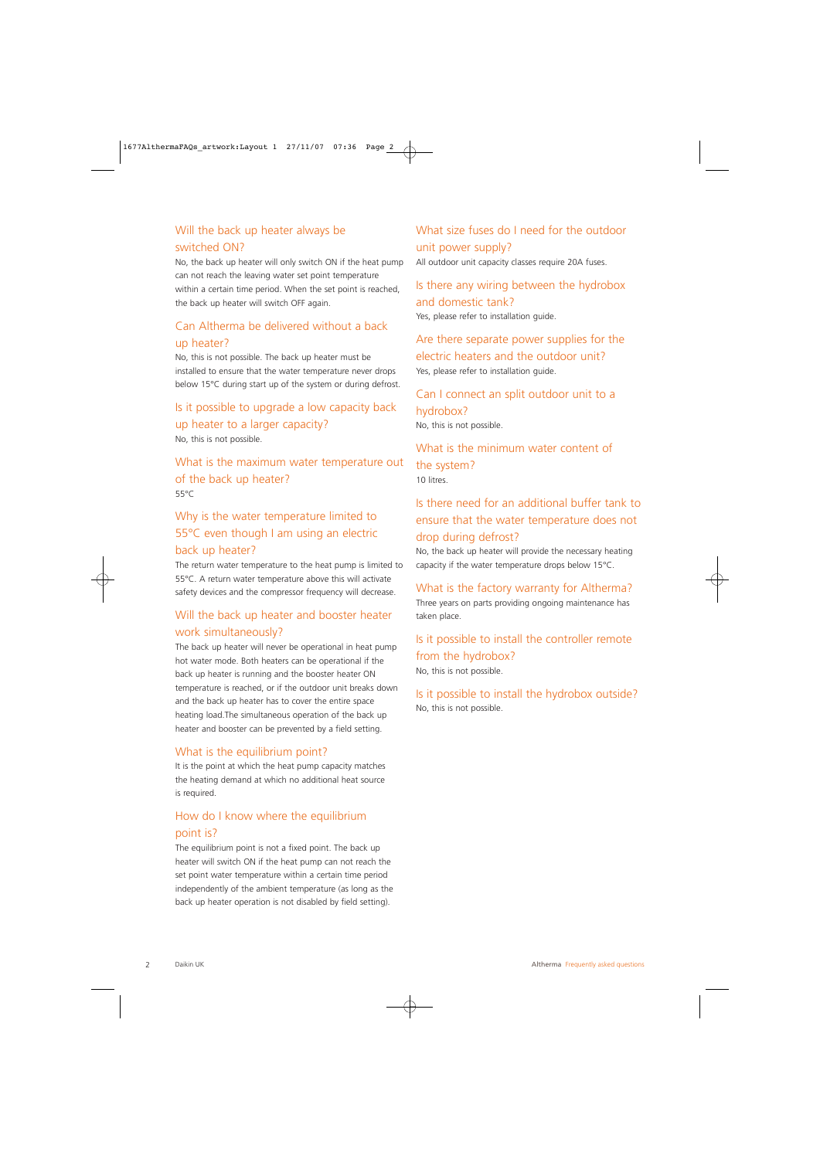## Will the back up heater always be switched ON?

No, the back up heater will only switch ON if the heat pump can not reach the leaving water set point temperature within a certain time period. When the set point is reached. the back up heater will switch OFF again.

## Can Altherma be delivered without a back up heater?

No, this is not possible. The back up heater must be installed to ensure that the water temperature never drops below 15°C during start up of the system or during defrost.

Is it possible to upgrade a low capacity back up heater to a larger capacity? No, this is not possible.

## What is the maximum water temperature out of the back up heater? 55°C

## Why is the water temperature limited to 55°C even though I am using an electric back up heater?

The return water temperature to the heat pump is limited to 55°C. A return water temperature above this will activate safety devices and the compressor frequency will decrease.

### Will the back up heater and booster heater work simultaneously?

The back up heater will never be operational in heat pump hot water mode. Both heaters can be operational if the back up heater is running and the booster heater ON temperature is reached, or if the outdoor unit breaks down and the back up heater has to cover the entire space heating load.The simultaneous operation of the back up heater and booster can be prevented by a field setting.

#### What is the equilibrium point?

It is the point at which the heat pump capacity matches the heating demand at which no additional heat source is required.

## How do I know where the equilibrium point is?

The equilibrium point is not a fixed point. The back up heater will switch ON if the heat pump can not reach the set point water temperature within a certain time period independently of the ambient temperature (as long as the back up heater operation is not disabled by field setting).

## What size fuses do I need for the outdoor unit power supply?

All outdoor unit capacity classes require 20A fuses.

Is there any wiring between the hydrobox and domestic tank? Yes, please refer to installation guide.

Are there separate power supplies for the electric heaters and the outdoor unit? Yes, please refer to installation guide.

Can I connect an split outdoor unit to a hydrobox? No, this is not possible.

What is the minimum water content of the system? 10 litres.

## Is there need for an additional buffer tank to ensure that the water temperature does not drop during defrost?

No, the back up heater will provide the necessary heating capacity if the water temperature drops below 15°C.

What is the factory warranty for Altherma? Three years on parts providing ongoing maintenance has taken place.

Is it possible to install the controller remote from the hydrobox? No, this is not possible.

Is it possible to install the hydrobox outside? No, this is not possible.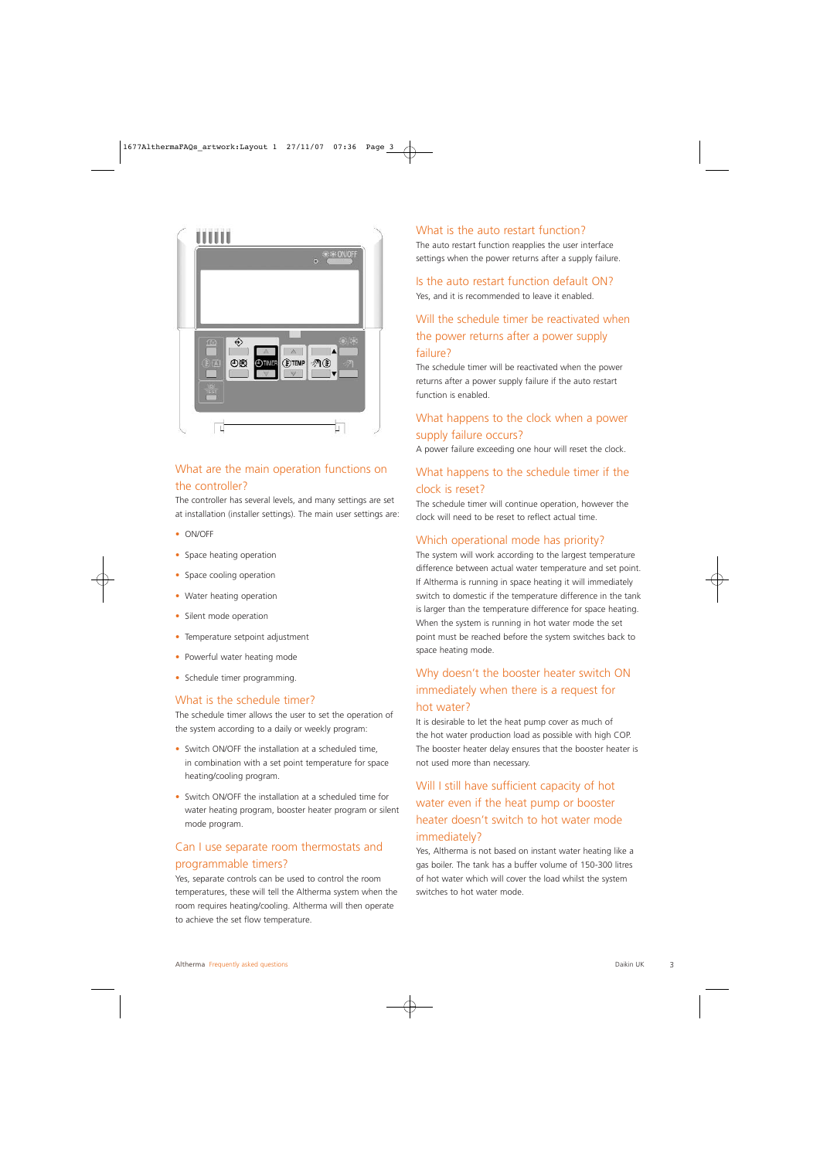

## What are the main operation functions on the controller?

The controller has several levels, and many settings are set at installation (installer settings). The main user settings are:

- ON/OFF
- Space heating operation
- Space cooling operation
- Water heating operation
- Silent mode operation
- Temperature setpoint adjustment
- Powerful water heating mode
- Schedule timer programming.

#### What is the schedule timer?

The schedule timer allows the user to set the operation of the system according to a daily or weekly program:

- Switch ON/OFF the installation at a scheduled time, in combination with a set point temperature for space heating/cooling program.
- Switch ON/OFF the installation at a scheduled time for water heating program, booster heater program or silent mode program.

## Can I use separate room thermostats and programmable timers?

Yes, separate controls can be used to control the room temperatures, these will tell the Altherma system when the room requires heating/cooling. Altherma will then operate to achieve the set flow temperature.

#### What is the auto restart function?

The auto restart function reapplies the user interface settings when the power returns after a supply failure.

#### Is the auto restart function default ON? Yes, and it is recommended to leave it enabled.

## Will the schedule timer be reactivated when the power returns after a power supply failure?

The schedule timer will be reactivated when the power returns after a power supply failure if the auto restart function is enabled.

### What happens to the clock when a power supply failure occurs?

A power failure exceeding one hour will reset the clock.

#### What happens to the schedule timer if the clock is reset?

The schedule timer will continue operation, however the clock will need to be reset to reflect actual time.

#### Which operational mode has priority?

The system will work according to the largest temperature difference between actual water temperature and set point. If Altherma is running in space heating it will immediately switch to domestic if the temperature difference in the tank is larger than the temperature difference for space heating. When the system is running in hot water mode the set point must be reached before the system switches back to space heating mode.

## Why doesn't the booster heater switch ON immediately when there is a request for hot water?

It is desirable to let the heat pump cover as much of the hot water production load as possible with high COP. The booster heater delay ensures that the booster heater is not used more than necessary.

## Will I still have sufficient capacity of hot water even if the heat pump or booster heater doesn't switch to hot water mode immediately?

Yes, Altherma is not based on instant water heating like a gas boiler. The tank has a buffer volume of 150-300 litres of hot water which will cover the load whilst the system switches to hot water mode.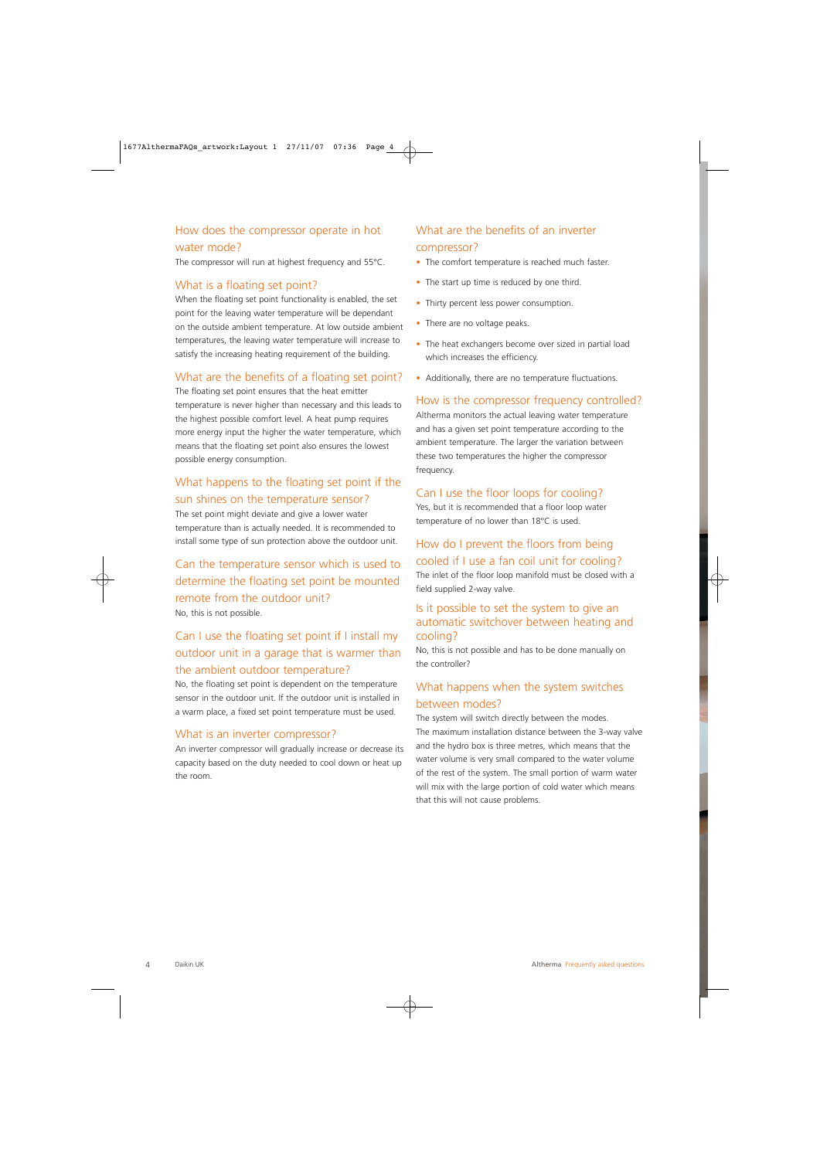## How does the compressor operate in hot water mode?

The compressor will run at highest frequency and 55°C.

#### What is a floating set point?

When the floating set point functionality is enabled, the set point for the leaving water temperature will be dependant on the outside ambient temperature. At low outside ambient temperatures, the leaving water temperature will increase to satisfy the increasing heating requirement of the building.

#### What are the benefits of a floating set point?

The floating set point ensures that the heat emitter temperature is never higher than necessary and this leads to the highest possible comfort level. A heat pump requires more energy input the higher the water temperature, which means that the floating set point also ensures the lowest possible energy consumption.

## What happens to the floating set point if the sun shines on the temperature sensor?

The set point might deviate and give a lower water temperature than is actually needed. It is recommended to install some type of sun protection above the outdoor unit.

Can the temperature sensor which is used to determine the floating set point be mounted remote from the outdoor unit? No, this is not possible.

## Can I use the floating set point if I install my outdoor unit in a garage that is warmer than the ambient outdoor temperature?

No, the floating set point is dependent on the temperature sensor in the outdoor unit. If the outdoor unit is installed in a warm place, a fixed set point temperature must be used.

#### What is an inverter compressor?

An inverter compressor will gradually increase or decrease its capacity based on the duty needed to cool down or heat up the room.

## What are the benefits of an inverter compressor?

- The comfort temperature is reached much faster.
- The start up time is reduced by one third.
- Thirty percent less power consumption.
- There are no voltage peaks.
- The heat exchangers become over sized in partial load which increases the efficiency.
- Additionally, there are no temperature fluctuations.

#### How is the compressor frequency controlled?

Altherma monitors the actual leaving water temperature and has a given set point temperature according to the ambient temperature. The larger the variation between these two temperatures the higher the compressor frequency.

#### Can I use the floor loops for cooling?

Yes, but it is recommended that a floor loop water temperature of no lower than 18°C is used.

How do I prevent the floors from being cooled if I use a fan coil unit for cooling? The inlet of the floor loop manifold must be closed with a field supplied 2-way valve.

#### Is it possible to set the system to give an automatic switchover between heating and cooling?

No, this is not possible and has to be done manually on the controller?

## What happens when the system switches between modes?

The system will switch directly between the modes. The maximum installation distance between the 3-way valve and the hydro box is three metres, which means that the water volume is very small compared to the water volume of the rest of the system. The small portion of warm water will mix with the large portion of cold water which means that this will not cause problems.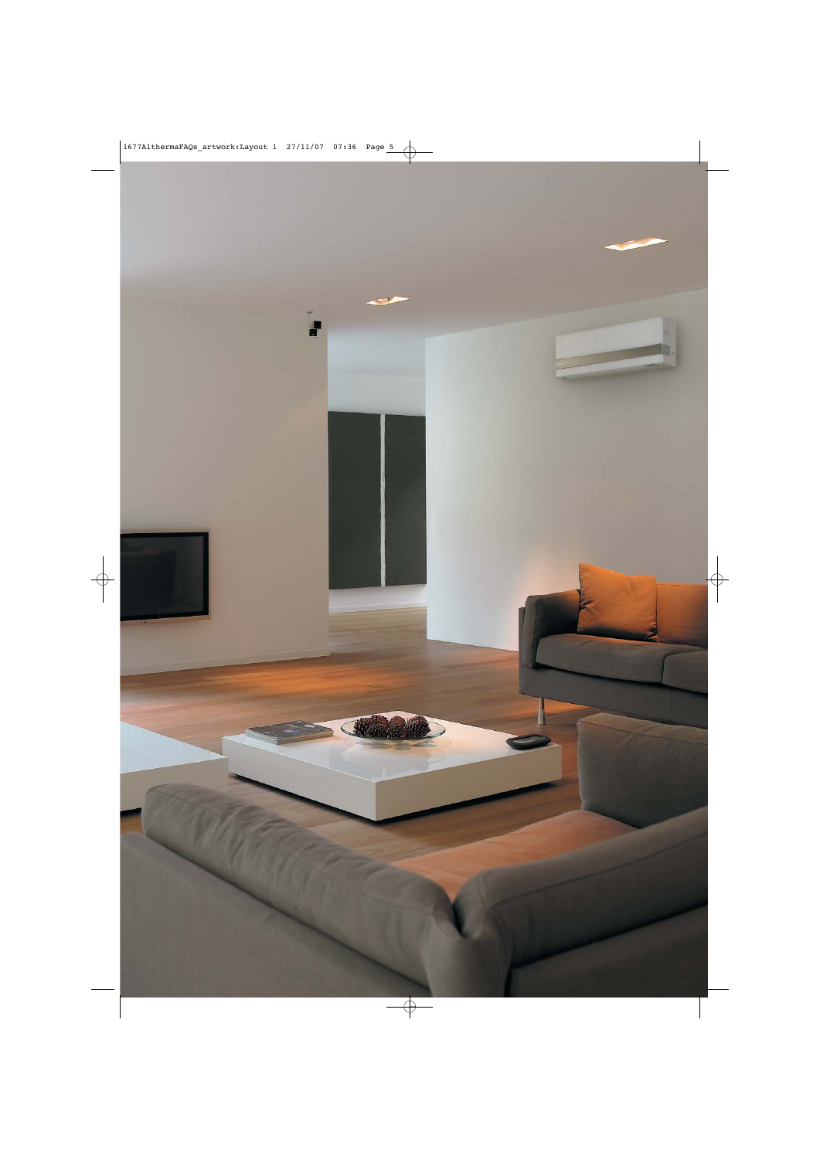